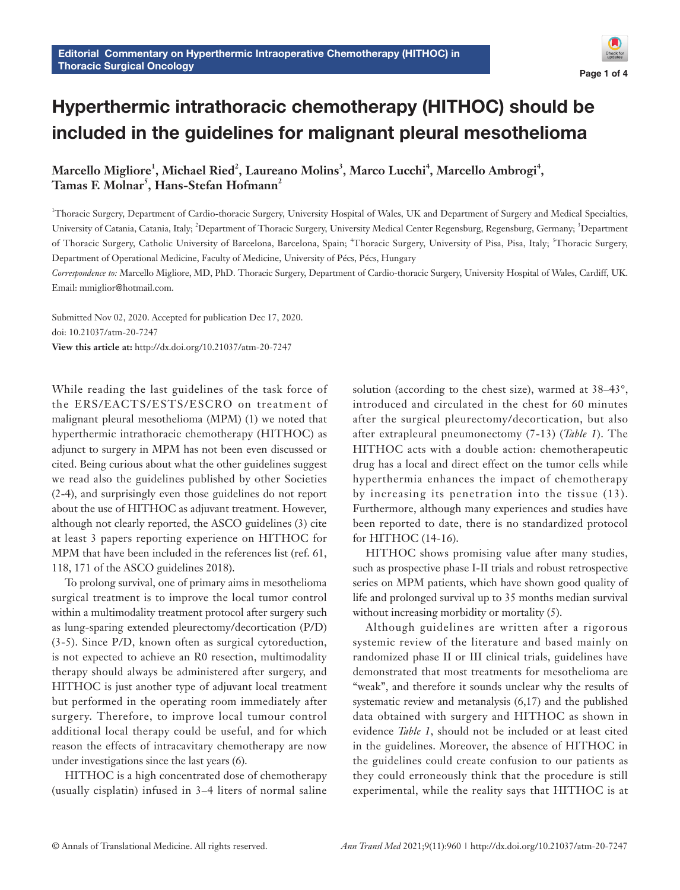

# Hyperthermic intrathoracic chemotherapy (HITHOC) should be included in the guidelines for malignant pleural mesothelioma

 $M$ arcello  $M$ igliore<sup>1</sup>,  $M$ ichael Ried<sup>2</sup>, Laureano  $M$ olins $^3$ ,  $M$ arco Lucchi $^4$ ,  $M$ arcello  $A$ mbrogi $^4$ , **Tamas F. Molnar5 , Hans-Stefan Hofmann2**

1 Thoracic Surgery, Department of Cardio-thoracic Surgery, University Hospital of Wales, UK and Department of Surgery and Medical Specialties, University of Catania, Catania, Italy; <sup>2</sup>Department of Thoracic Surgery, University Medical Center Regensburg, Regensburg, Germany; <sup>3</sup>Department of Thoracic Surgery, Catholic University of Barcelona, Barcelona, Spain; <sup>4</sup>Thoracic Surgery, University of Pisa, Pisa, Italy; <sup>5</sup>Thoracic Surgery, Department of Operational Medicine, Faculty of Medicine, University of Pécs, Pécs, Hungary

*Correspondence to:* Marcello Migliore, MD, PhD. Thoracic Surgery, Department of Cardio-thoracic Surgery, University Hospital of Wales, Cardiff, UK. Email: mmiglior@hotmail.com.

Submitted Nov 02, 2020. Accepted for publication Dec 17, 2020. doi: 10.21037/atm-20-7247 **View this article at:** http://dx.doi.org/10.21037/atm-20-7247

While reading the last guidelines of the task force of the ERS/EACTS/ESTS/ESCRO on treatment of malignant pleural mesothelioma (MPM) (1) we noted that hyperthermic intrathoracic chemotherapy (HITHOC) as adjunct to surgery in MPM has not been even discussed or cited. Being curious about what the other guidelines suggest we read also the guidelines published by other Societies (2-4), and surprisingly even those guidelines do not report about the use of HITHOC as adjuvant treatment. However, although not clearly reported, the ASCO guidelines (3) cite at least 3 papers reporting experience on HITHOC for MPM that have been included in the references list (ref. 61, 118, 171 of the ASCO guidelines 2018).

To prolong survival, one of primary aims in mesothelioma surgical treatment is to improve the local tumor control within a multimodality treatment protocol after surgery such as lung-sparing extended pleurectomy/decortication (P/D) (3-5). Since P/D, known often as surgical cytoreduction, is not expected to achieve an R0 resection, multimodality therapy should always be administered after surgery, and HITHOC is just another type of adjuvant local treatment but performed in the operating room immediately after surgery. Therefore, to improve local tumour control additional local therapy could be useful, and for which reason the effects of intracavitary chemotherapy are now under investigations since the last years (6).

HITHOC is a high concentrated dose of chemotherapy (usually cisplatin) infused in 3–4 liters of normal saline

solution (according to the chest size), warmed at 38–43°, introduced and circulated in the chest for 60 minutes after the surgical pleurectomy/decortication, but also after extrapleural pneumonectomy (7-13) (*Table 1*). The HITHOC acts with a double action: chemotherapeutic drug has a local and direct effect on the tumor cells while hyperthermia enhances the impact of chemotherapy by increasing its penetration into the tissue (13). Furthermore, although many experiences and studies have been reported to date, there is no standardized protocol for HITHOC (14-16).

HITHOC shows promising value after many studies, such as prospective phase I-II trials and robust retrospective series on MPM patients, which have shown good quality of life and prolonged survival up to 35 months median survival without increasing morbidity or mortality  $(5)$ .

Although guidelines are written after a rigorous systemic review of the literature and based mainly on randomized phase II or III clinical trials, guidelines have demonstrated that most treatments for mesothelioma are "weak", and therefore it sounds unclear why the results of systematic review and metanalysis (6,17) and the published data obtained with surgery and HITHOC as shown in evidence *Table 1*, should not be included or at least cited in the guidelines. Moreover, the absence of HITHOC in the guidelines could create confusion to our patients as they could erroneously think that the procedure is still experimental, while the reality says that HITHOC is at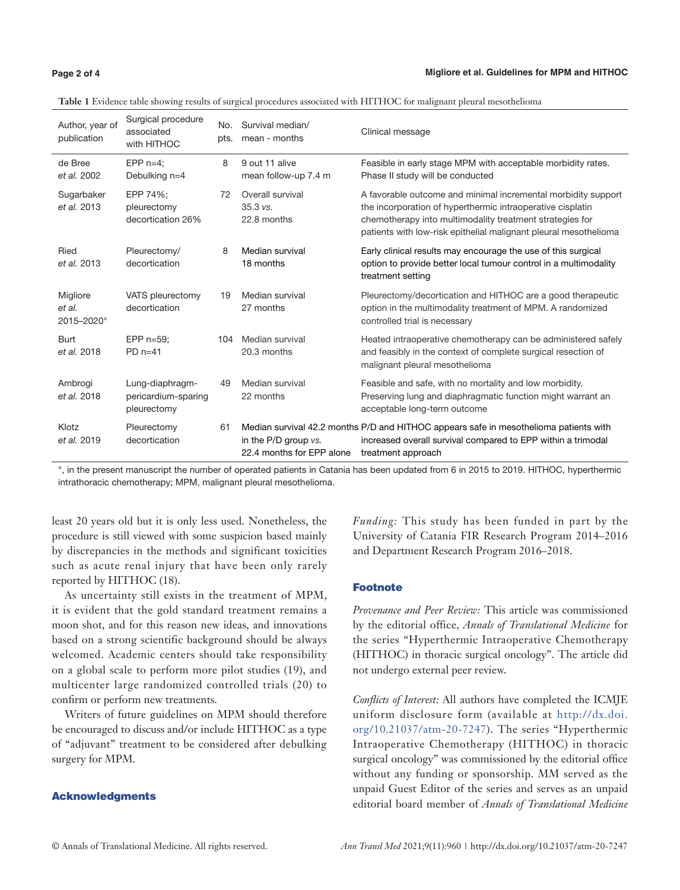#### **Page 2 of 4**

| Author, year of<br>publication   | Surgical procedure<br>associated<br>with HITHOC       | No.<br>pts. | Survival median/<br>mean - months                 | Clinical message                                                                                                                                                                                                                                            |
|----------------------------------|-------------------------------------------------------|-------------|---------------------------------------------------|-------------------------------------------------------------------------------------------------------------------------------------------------------------------------------------------------------------------------------------------------------------|
| de Bree<br>et al. 2002           | EPP $n=4$ ;<br>Debulking n=4                          | 8           | 9 out 11 alive<br>mean follow-up 7.4 m            | Feasible in early stage MPM with acceptable morbidity rates.<br>Phase II study will be conducted                                                                                                                                                            |
| Sugarbaker<br>et al. 2013        | EPP 74%:<br>pleurectomy<br>decortication 26%          | 72          | Overall survival<br>$35.3$ vs.<br>22.8 months     | A favorable outcome and minimal incremental morbidity support<br>the incorporation of hyperthermic intraoperative cisplatin<br>chemotherapy into multimodality treatment strategies for<br>patients with low-risk epithelial malignant pleural mesothelioma |
| Ried<br>et al. 2013              | Pleurectomy/<br>decortication                         | 8           | Median survival<br>18 months                      | Early clinical results may encourage the use of this surgical<br>option to provide better local tumour control in a multimodality<br>treatment setting                                                                                                      |
| Migliore<br>et al.<br>2015-2020° | VATS pleurectomy<br>decortication                     | 19          | Median survival<br>27 months                      | Pleurectomy/decortication and HITHOC are a good therapeutic<br>option in the multimodality treatment of MPM. A randomized<br>controlled trial is necessary                                                                                                  |
| <b>Burt</b><br>et al. 2018       | EPP $n=59$ :<br>$PD$ n=41                             | 104         | Median survival<br>20.3 months                    | Heated intraoperative chemotherapy can be administered safely<br>and feasibly in the context of complete surgical resection of<br>malignant pleural mesothelioma                                                                                            |
| Ambrogi<br>et al. 2018           | Lung-diaphragm-<br>pericardium-sparing<br>pleurectomy | 49          | Median survival<br>22 months                      | Feasible and safe, with no mortality and low morbidity.<br>Preserving lung and diaphragmatic function might warrant an<br>acceptable long-term outcome                                                                                                      |
| Klotz<br>et al. 2019             | Pleurectomy<br>decortication                          | 61          | in the P/D group vs.<br>22.4 months for EPP alone | Median survival 42.2 months P/D and HITHOC appears safe in mesothelioma patients with<br>increased overall survival compared to EPP within a trimodal<br>treatment approach                                                                                 |

**Table 1** Evidence table showing results of surgical procedures associated with HITHOC for malignant pleural mesothelioma

°, in the present manuscript the number of operated patients in Catania has been updated from 6 in 2015 to 2019. HITHOC, hyperthermic intrathoracic chemotherapy; MPM, malignant pleural mesothelioma.

least 20 years old but it is only less used. Nonetheless, the procedure is still viewed with some suspicion based mainly by discrepancies in the methods and significant toxicities such as acute renal injury that have been only rarely reported by HITHOC (18).

As uncertainty still exists in the treatment of MPM, it is evident that the gold standard treatment remains a moon shot, and for this reason new ideas, and innovations based on a strong scientific background should be always welcomed. Academic centers should take responsibility on a global scale to perform more pilot studies (19), and multicenter large randomized controlled trials (20) to confirm or perform new treatments.

Writers of future guidelines on MPM should therefore be encouraged to discuss and/or include HITHOC as a type of "adjuvant" treatment to be considered after debulking surgery for MPM.

# Acknowledgments

*Funding:* This study has been funded in part by the University of Catania FIR Research Program 2014–2016 and Department Research Program 2016–2018.

### Footnote

*Provenance and Peer Review:* This article was commissioned by the editorial office, *Annals of Translational Medicine* for the series "Hyperthermic Intraoperative Chemotherapy (HITHOC) in thoracic surgical oncology". The article did not undergo external peer review.

*Conflicts of Interest:* All authors have completed the ICMJE uniform disclosure form (available at [http://dx.doi.](http://dx.doi.org/10.21037/atm-20-7247) [org/10.21037/atm-20-7247](http://dx.doi.org/10.21037/atm-20-7247)). The series "Hyperthermic Intraoperative Chemotherapy (HITHOC) in thoracic surgical oncology" was commissioned by the editorial office without any funding or sponsorship. MM served as the unpaid Guest Editor of the series and serves as an unpaid editorial board member of *Annals of Translational Medicine*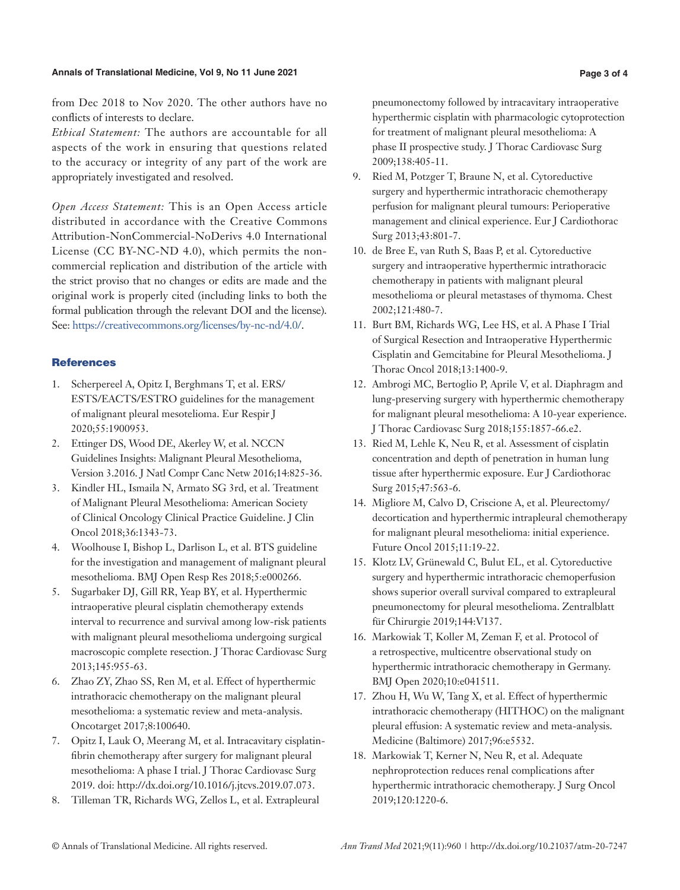#### **Annals of Translational Medicine, Vol 9, No 11 June 2021 Page 3 of 4**

from Dec 2018 to Nov 2020. The other authors have no conflicts of interests to declare.

*Ethical Statement:* The authors are accountable for all aspects of the work in ensuring that questions related to the accuracy or integrity of any part of the work are appropriately investigated and resolved.

*Open Access Statement:* This is an Open Access article distributed in accordance with the Creative Commons Attribution-NonCommercial-NoDerivs 4.0 International License (CC BY-NC-ND 4.0), which permits the noncommercial replication and distribution of the article with the strict proviso that no changes or edits are made and the original work is properly cited (including links to both the formal publication through the relevant DOI and the license). See: [https://creativecommons.org/licenses/by-nc-nd/4.0/.](https://creativecommons.org/licenses/by-nc-nd/4.0/)

# **References**

- 1. Scherpereel A, Opitz I, Berghmans T, et al. ERS/ ESTS/EACTS/ESTRO guidelines for the management of malignant pleural mesotelioma. Eur Respir J 2020;55:1900953.
- 2. Ettinger DS, Wood DE, Akerley W, et al. NCCN Guidelines Insights: Malignant Pleural Mesothelioma, Version 3.2016. J Natl Compr Canc Netw 2016;14:825-36.
- 3. Kindler HL, Ismaila N, Armato SG 3rd, et al. Treatment of Malignant Pleural Mesothelioma: American Society of Clinical Oncology Clinical Practice Guideline. J Clin Oncol 2018;36:1343-73.
- 4. Woolhouse I, Bishop L, Darlison L, et al. BTS guideline for the investigation and management of malignant pleural mesothelioma. BMJ Open Resp Res 2018;5:e000266.
- 5. Sugarbaker DJ, Gill RR, Yeap BY, et al. Hyperthermic intraoperative pleural cisplatin chemotherapy extends interval to recurrence and survival among low-risk patients with malignant pleural mesothelioma undergoing surgical macroscopic complete resection. J Thorac Cardiovasc Surg 2013;145:955-63.
- 6. Zhao ZY, Zhao SS, Ren M, et al. Effect of hyperthermic intrathoracic chemotherapy on the malignant pleural mesothelioma: a systematic review and meta-analysis. Oncotarget 2017;8:100640.
- 7. Opitz I, Lauk O, Meerang M, et al. Intracavitary cisplatinfibrin chemotherapy after surgery for malignant pleural mesothelioma: A phase I trial. J Thorac Cardiovasc Surg 2019. doi: http://dx.doi.org/10.1016/j.jtcvs.2019.07.073.
- 8. Tilleman TR, Richards WG, Zellos L, et al. Extrapleural

pneumonectomy followed by intracavitary intraoperative hyperthermic cisplatin with pharmacologic cytoprotection for treatment of malignant pleural mesothelioma: A phase II prospective study. J Thorac Cardiovasc Surg 2009;138:405-11.

- 9. Ried M, Potzger T, Braune N, et al. Cytoreductive surgery and hyperthermic intrathoracic chemotherapy perfusion for malignant pleural tumours: Perioperative management and clinical experience. Eur J Cardiothorac Surg 2013;43:801-7.
- 10. de Bree E, van Ruth S, Baas P, et al. Cytoreductive surgery and intraoperative hyperthermic intrathoracic chemotherapy in patients with malignant pleural mesothelioma or pleural metastases of thymoma. Chest 2002;121:480-7.
- 11. Burt BM, Richards WG, Lee HS, et al. A Phase I Trial of Surgical Resection and Intraoperative Hyperthermic Cisplatin and Gemcitabine for Pleural Mesothelioma. J Thorac Oncol 2018;13:1400-9.
- 12. Ambrogi MC, Bertoglio P, Aprile V, et al. Diaphragm and lung-preserving surgery with hyperthermic chemotherapy for malignant pleural mesothelioma: A 10-year experience. J Thorac Cardiovasc Surg 2018;155:1857-66.e2.
- 13. Ried M, Lehle K, Neu R, et al. Assessment of cisplatin concentration and depth of penetration in human lung tissue after hyperthermic exposure. Eur J Cardiothorac Surg 2015;47:563-6.
- 14. Migliore M, Calvo D, Criscione A, et al. Pleurectomy/ decortication and hyperthermic intrapleural chemotherapy for malignant pleural mesothelioma: initial experience. Future Oncol 2015;11:19-22.
- 15. Klotz LV, Grünewald C, Bulut EL, et al. Cytoreductive surgery and hyperthermic intrathoracic chemoperfusion shows superior overall survival compared to extrapleural pneumonectomy for pleural mesothelioma. Zentralblatt für Chirurgie 2019;144:V137.
- 16. Markowiak T, Koller M, Zeman F, et al. Protocol of a retrospective, multicentre observational study on hyperthermic intrathoracic chemotherapy in Germany. BMJ Open 2020;10:e041511.
- 17. Zhou H, Wu W, Tang X, et al. Effect of hyperthermic intrathoracic chemotherapy (HITHOC) on the malignant pleural effusion: A systematic review and meta-analysis. Medicine (Baltimore) 2017;96:e5532.
- 18. Markowiak T, Kerner N, Neu R, et al. Adequate nephroprotection reduces renal complications after hyperthermic intrathoracic chemotherapy. J Surg Oncol 2019;120:1220-6.